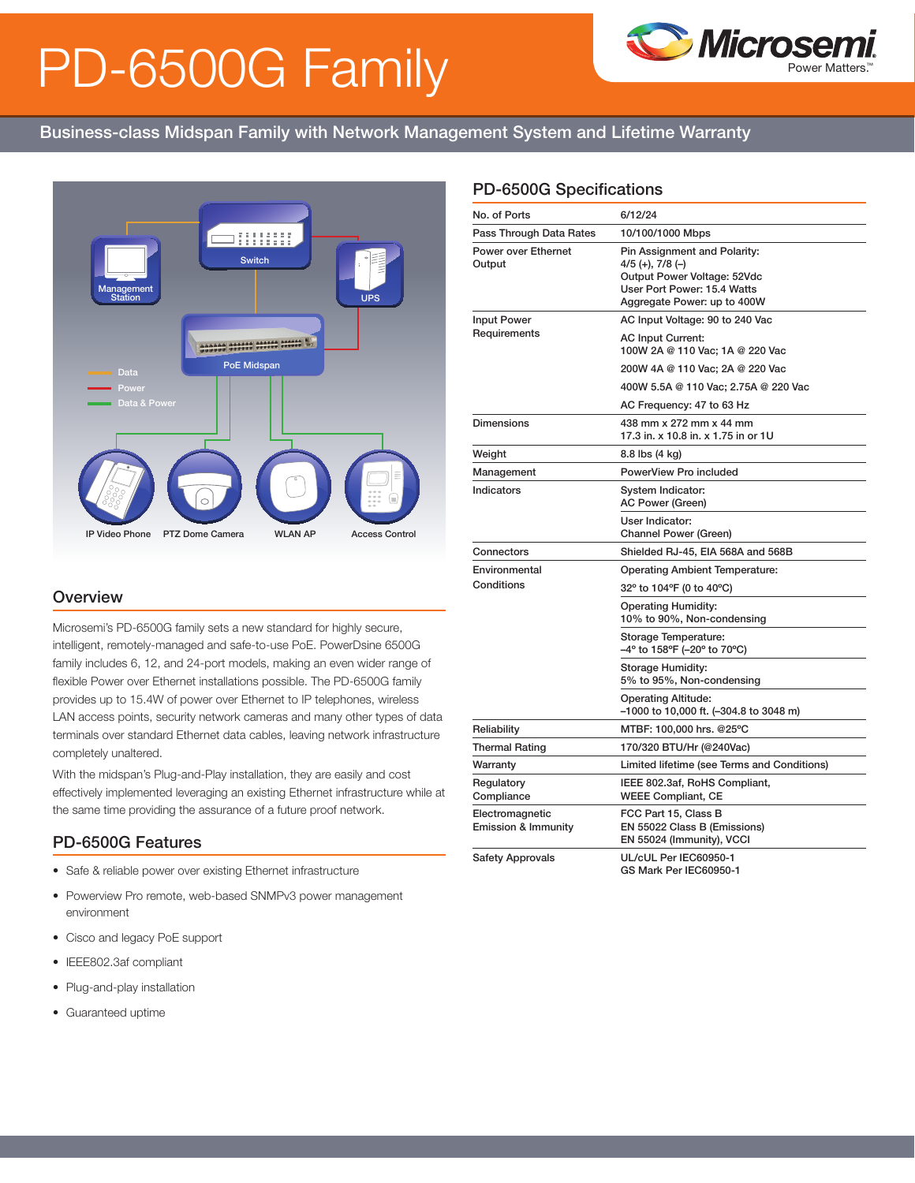# PD-6500G Family



## Business-class Midspan Family with Network Management System and Lifetime Warranty



#### **Overview**

Microsemi's PD-6500G family sets a new standard for highly secure, intelligent, remotely-managed and safe-to-use PoE. PowerDsine 6500G family includes 6, 12, and 24-port models, making an even wider range of flexible Power over Ethernet installations possible. The PD-6500G family provides up to 15.4W of power over Ethernet to IP telephones, wireless LAN access points, security network cameras and many other types of data terminals over standard Ethernet data cables, leaving network infrastructure completely unaltered.

With the midspan's Plug-and-Play installation, they are easily and cost effectively implemented leveraging an existing Ethernet infrastructure while at the same time providing the assurance of a future proof network.

#### PD-6500G Features

- Safe & reliable power over existing Ethernet infrastructure
- Powerview Pro remote, web-based SNMPv3 power management environment
- Cisco and legacy PoE support
- IEEE802.3af compliant
- Plug-and-play installation
- Guaranteed uptime

### PD-6500G Specifications

| No. of Ports                                      | 6/12/24                                                                                                                                           |  |
|---------------------------------------------------|---------------------------------------------------------------------------------------------------------------------------------------------------|--|
| Pass Through Data Rates                           | 10/100/1000 Mbps                                                                                                                                  |  |
| <b>Power over Ethernet</b><br>Output              | Pin Assignment and Polarity:<br>$4/5$ (+), $7/8$ (-)<br>Output Power Voltage: 52Vdc<br>User Port Power: 15.4 Watts<br>Aggregate Power: up to 400W |  |
| <b>Input Power</b>                                | AC Input Voltage: 90 to 240 Vac                                                                                                                   |  |
| Requirements                                      | <b>AC Input Current:</b><br>100W 2A @ 110 Vac; 1A @ 220 Vac                                                                                       |  |
|                                                   | 200W 4A @ 110 Vac; 2A @ 220 Vac                                                                                                                   |  |
|                                                   | 400W 5.5A @ 110 Vac; 2.75A @ 220 Vac                                                                                                              |  |
|                                                   | AC Frequency: 47 to 63 Hz                                                                                                                         |  |
| <b>Dimensions</b>                                 | 438 mm x 272 mm x 44 mm<br>17.3 in. x 10.8 in. x 1.75 in or 1U                                                                                    |  |
| Weight                                            | 8.8 lbs (4 kg)                                                                                                                                    |  |
| Management                                        | PowerView Pro included                                                                                                                            |  |
| Indicators                                        | System Indicator:<br>AC Power (Green)                                                                                                             |  |
|                                                   | User Indicator:<br>Channel Power (Green)                                                                                                          |  |
| Connectors                                        | Shielded RJ-45, EIA 568A and 568B                                                                                                                 |  |
| Environmental                                     | <b>Operating Ambient Temperature:</b>                                                                                                             |  |
| Conditions                                        | 32° to 104°F (0 to 40°C)                                                                                                                          |  |
|                                                   | <b>Operating Humidity:</b><br>10% to 90%, Non-condensing                                                                                          |  |
|                                                   | Storage Temperature:<br>-4° to 158°F (-20° to 70°C)                                                                                               |  |
|                                                   | Storage Humidity:<br>5% to 95%, Non-condensing                                                                                                    |  |
|                                                   | <b>Operating Altitude:</b><br>-1000 to 10,000 ft. (-304.8 to 3048 m)                                                                              |  |
| Reliability                                       | MTBF: 100,000 hrs. @25°C                                                                                                                          |  |
| <b>Thermal Rating</b>                             | 170/320 BTU/Hr (@240Vac)                                                                                                                          |  |
| Warranty                                          | Limited lifetime (see Terms and Conditions)                                                                                                       |  |
| Regulatory<br>Compliance                          | IEEE 802.3af, RoHS Compliant,<br><b>WEEE Compliant, CE</b>                                                                                        |  |
| Electromagnetic<br><b>Emission &amp; Immunity</b> | FCC Part 15, Class B<br>EN 55022 Class B (Emissions)<br>EN 55024 (Immunity), VCCI                                                                 |  |
| <b>Safety Approvals</b>                           | UL/cUL Per IEC60950-1<br>GS Mark Per IEC60950-1                                                                                                   |  |